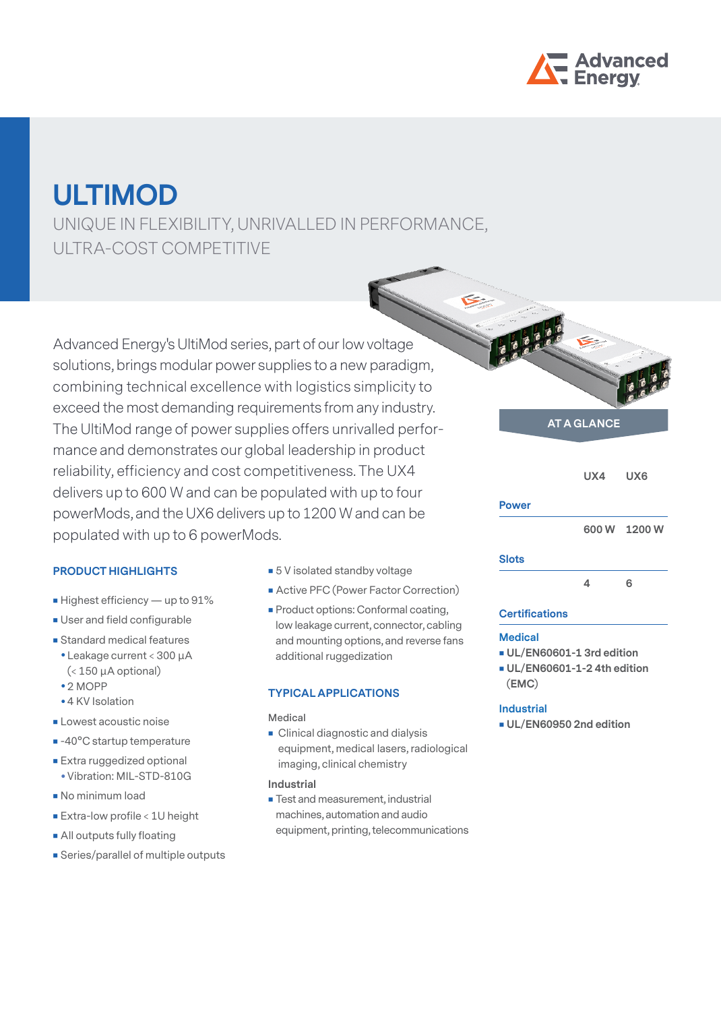

# **ULTIMOD**

UNIQUE IN FLEXIBILITY, UNRIVALLED IN PERFORMANCE, ULTRA-COST COMPETITIVE

Advanced Energy's UltiMod series, part of our low voltage solutions, brings modular power supplies to a new paradigm, combining technical excellence with logistics simplicity to exceed the most demanding requirements from any industry. The UltiMod range of power supplies offers unrivalled performance and demonstrates our global leadership in product reliability, efficiency and cost competitiveness. The UX4 delivers up to 600 W and can be populated with up to four powerMods, and the UX6 delivers up to 1200 W and can be populated with up to 6 powerMods.

## **PRODUCT HIGHLIGHTS**

- Highest efficiency up to 91%
- **User and field configurable**
- **Standard medical features**
- Leakage current < 300 µA (< 150 µA optional)
- $2 MOPP$
- 4 KV Isolation
- **Lowest acoustic noise**
- -40°C startup temperature
- **Extra ruggedized optional** • Vibration: MIL-STD-810G
- No minimum load
- **Extra-low profile < 1U height**
- **All outputs fully floating**
- **Series/parallel of multiple outputs**
- 5 V isolated standby voltage
- **Active PFC (Power Factor Correction)**
- **Product options: Conformal coating,** low leakage current, connector, cabling and mounting options, and reverse fans additional ruggedization

#### **TYPICAL APPLICATIONS**

#### **Medical**

**Clinical diagnostic and dialysis** equipment, medical lasers, radiological imaging, clinical chemistry

#### **Industrial**

**Test and measurement, industrial** machines, automation and audio equipment, printing, telecommunications

# **AT A GLANCE**

 **UX4 UX6 Power 600 W 1200 W**

## **Slots**

 **4 6**

#### **Certifications**

#### **Medical**

- **UL/EN60601-1 3rd edition**
- **UL/EN60601-1-2 4th edition (EMC)**

#### **Industrial**

**UL/EN60950 2nd edition**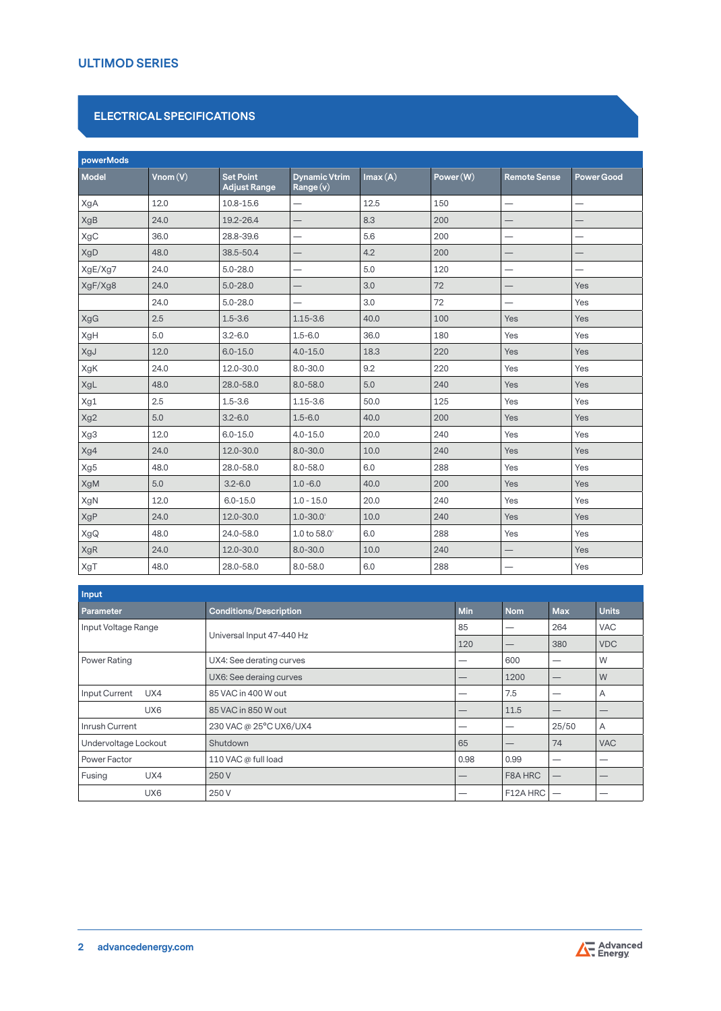## **ULTIMOD SERIES**

## **ELECTRICAL SPECIFICATIONS**

| powerMods    |         |                                         |                                  |         |           |                          |                          |
|--------------|---------|-----------------------------------------|----------------------------------|---------|-----------|--------------------------|--------------------------|
| <b>Model</b> | Vnom(V) | <b>Set Point</b><br><b>Adjust Range</b> | <b>Dynamic Vtrim</b><br>Range(v) | Imax(A) | Power (W) | <b>Remote Sense</b>      | <b>Power Good</b>        |
| XgA          | 12.0    | 10.8-15.6                               |                                  | 12.5    | 150       |                          | $\overline{\phantom{0}}$ |
| XgB          | 24.0    | 19.2-26.4                               |                                  | 8.3     | 200       |                          |                          |
| XgC          | 36.0    | 28.8-39.6                               | —                                | 5.6     | 200       |                          | -                        |
| XgD          | 48.0    | 38.5-50.4                               |                                  | 4.2     | 200       |                          |                          |
| XgE/Xg7      | 24.0    | $5.0 - 28.0$                            | —                                | 5.0     | 120       | —                        | —                        |
| XgF/Xg8      | 24.0    | $5.0 - 28.0$                            |                                  | 3.0     | 72        |                          | Yes                      |
|              | 24.0    | $5.0 - 28.0$                            | $\qquad \qquad -$                | 3.0     | 72        | $\overline{\phantom{0}}$ | Yes                      |
| XgG          | 2.5     | $1.5 - 3.6$                             | $1.15 - 3.6$                     | 40.0    | 100       | Yes                      | Yes                      |
| XgH          | 5.0     | $3.2 - 6.0$                             | $1.5 - 6.0$                      | 36.0    | 180       | Yes                      | Yes                      |
| XgJ          | 12.0    | $6.0 - 15.0$                            | $4.0 - 15.0$                     | 18.3    | 220       | Yes                      | Yes                      |
| XgK          | 24.0    | 12.0-30.0                               | $8.0 - 30.0$                     | 9.2     | 220       | Yes                      | Yes                      |
| XgL          | 48.0    | 28.0-58.0                               | $8.0 - 58.0$                     | 5.0     | 240       | Yes                      | Yes                      |
| Xg1          | 2.5     | $1.5 - 3.6$                             | $1.15 - 3.6$                     | 50.0    | 125       | Yes                      | Yes                      |
| Xg2          | 5.0     | $3.2 - 6.0$                             | $1.5 - 6.0$                      | 40.0    | 200       | Yes                      | Yes                      |
| Xg3          | 12.0    | $6.0 - 15.0$                            | $4.0 - 15.0$                     | 20.0    | 240       | Yes                      | Yes                      |
| Xg4          | 24.0    | 12.0-30.0                               | $8.0 - 30.0$                     | 10.0    | 240       | Yes                      | Yes                      |
| Xg5          | 48.0    | 28.0-58.0                               | $8.0 - 58.0$                     | 6.0     | 288       | Yes                      | Yes                      |
| XgM          | 5.0     | $3.2 - 6.0$                             | $1.0 - 6.0$                      | 40.0    | 200       | Yes                      | Yes                      |
| XgN          | 12.0    | $6.0 - 15.0$                            | $1.0 - 15.0$                     | 20.0    | 240       | Yes                      | Yes                      |
| XgP          | 24.0    | 12.0-30.0                               | $1.0 - 30.0$                     | 10.0    | 240       | Yes                      | Yes                      |
| XgQ          | 48.0    | 24.0-58.0                               | 1.0 to $58.0^{\circ}$            | 6.0     | 288       | Yes                      | Yes                      |
| XgR          | 24.0    | 12.0-30.0                               | $8.0 - 30.0$                     | 10.0    | 240       |                          | Yes                      |
| XgT          | 48.0    | 28.0-58.0                               | $8.0 - 58.0$                     | 6.0     | 288       |                          | Yes                      |

| Input                |                               |            |            |                                 |                |
|----------------------|-------------------------------|------------|------------|---------------------------------|----------------|
| Parameter            | <b>Conditions/Description</b> | <b>Min</b> | <b>Nom</b> | <b>Max</b>                      | <b>Units</b>   |
| Input Voltage Range  |                               | 85         |            | 264                             | <b>VAC</b>     |
|                      | Universal Input 47-440 Hz     | 120        |            | 380                             | <b>VDC</b>     |
| Power Rating         | UX4: See derating curves      |            | 600        | —                               | W              |
|                      | UX6: See deraing curves       |            | 1200       | –                               | W              |
| Input Current<br>UX4 | 85 VAC in 400 W out           |            | 7.5        |                                 | A              |
| UX <sub>6</sub>      | 85 VAC in 850 W out           |            | 11.5       |                                 |                |
| Inrush Current       | 230 VAC @ 25°C UX6/UX4        | –          |            | 25/50                           | $\overline{A}$ |
| Undervoltage Lockout | Shutdown                      | 65         |            | 74                              | <b>VAC</b>     |
| Power Factor         | 110 VAC @ full load           | 0.98       | 0.99       | –                               |                |
| Fusing<br>UX4        | 250 V                         |            | F8A HRC    | $\hspace{0.1mm}-\hspace{0.1mm}$ |                |
| UX <sub>6</sub>      | 250 V                         |            | F12A HRC   |                                 |                |

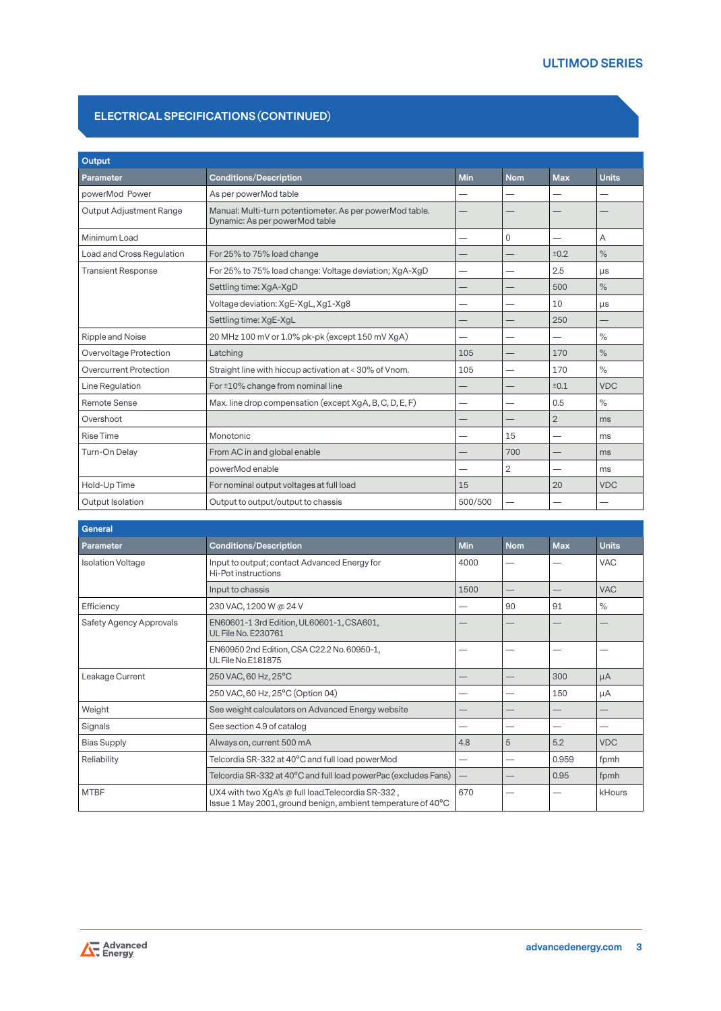## **ELECTRICAL SPECIFICATIONS (CONTINUED)**

| Output                         |                                                                                            |            |                |                |               |
|--------------------------------|--------------------------------------------------------------------------------------------|------------|----------------|----------------|---------------|
| Parameter                      | <b>Conditions/Description</b>                                                              | <b>Min</b> | <b>Nom</b>     | <b>Max</b>     | <b>Units</b>  |
| powerMod Power                 | As per powerMod table                                                                      |            |                |                |               |
| <b>Output Adjustment Range</b> | Manual: Multi-turn potentiometer. As per powerMod table.<br>Dynamic: As per powerMod table |            |                |                |               |
| Minimum Load                   |                                                                                            |            | $\mathbf 0$    | —              | A             |
| Load and Cross Regulation      | For 25% to 75% load change                                                                 |            |                | ±0.2           | $\frac{1}{2}$ |
| <b>Transient Response</b>      | For 25% to 75% load change: Voltage deviation; XgA-XgD                                     |            |                | 2.5            | $\mu s$       |
|                                | Settling time: XgA-XgD                                                                     |            |                | 500            | $\%$          |
|                                | Voltage deviation: XgE-XgL, Xg1-Xg8                                                        |            |                | 10             | $\mu s$       |
|                                | Settling time: XgE-XgL                                                                     |            |                | 250            |               |
| Ripple and Noise               | 20 MHz 100 mV or 1.0% pk-pk (except 150 mV XgA)                                            |            |                |                | $\%$          |
| Overvoltage Protection         | Latching                                                                                   | 105        |                | 170            | $\%$          |
| <b>Overcurrent Protection</b>  | Straight line with hiccup activation at < 30% of Vnom.                                     | 105        |                | 170            | $\frac{1}{2}$ |
| Line Regulation                | For ±10% change from nominal line                                                          |            |                | ±0.1           | <b>VDC</b>    |
| Remote Sense                   | Max. line drop compensation (except XgA, B, C, D, E, F)                                    |            |                | 0.5            | $\%$          |
| Overshoot                      |                                                                                            |            |                | $\overline{2}$ | ms            |
| <b>Rise Time</b>               | Monotonic                                                                                  |            | 15             | -              | ms            |
| Turn-On Delay                  | From AC in and global enable                                                               |            | 700            |                | ms            |
|                                | powerMod enable                                                                            |            | $\overline{2}$ |                | ms            |
| Hold-Up Time                   | For nominal output voltages at full load                                                   | 15         |                | 20             | <b>VDC</b>    |
| Output Isolation               | Output to output/output to chassis                                                         | 500/500    |                |                |               |

| <b>General</b>                 |                                                                                                                   |            |            |            |              |
|--------------------------------|-------------------------------------------------------------------------------------------------------------------|------------|------------|------------|--------------|
| Parameter                      | <b>Conditions/Description</b>                                                                                     | <b>Min</b> | <b>Nom</b> | <b>Max</b> | <b>Units</b> |
| <b>Isolation Voltage</b>       | Input to output; contact Advanced Energy for<br>Hi-Pot instructions                                               | 4000       |            |            | <b>VAC</b>   |
|                                | Input to chassis                                                                                                  | 1500       |            |            | <b>VAC</b>   |
| Efficiency                     | 230 VAC, 1200 W @ 24 V                                                                                            |            | 90         | 91         | $\%$         |
| <b>Safety Agency Approvals</b> | EN60601-1 3rd Edition, UL60601-1, CSA601,<br><b>UL File No. E230761</b>                                           |            |            |            |              |
|                                | EN60950 2nd Edition, CSA C22.2 No. 60950-1,<br><b>UL File No.E181875</b>                                          |            |            |            |              |
| Leakage Current                | 250 VAC, 60 Hz, 25°C                                                                                              |            |            | 300        | $\mu A$      |
|                                | 250 VAC, 60 Hz, 25°C (Option 04)                                                                                  |            |            | 150        | μA           |
| Weight                         | See weight calculators on Advanced Energy website                                                                 |            |            |            |              |
| Signals                        | See section 4.9 of catalog                                                                                        |            |            |            |              |
| <b>Bias Supply</b>             | Always on, current 500 mA                                                                                         | 4.8        | 5          | 5.2        | <b>VDC</b>   |
| Reliability                    | Telcordia SR-332 at 40°C and full load powerMod                                                                   |            |            | 0.959      | fpmh         |
|                                | Telcordia SR-332 at 40°C and full load powerPac (excludes Fans)                                                   |            |            | 0.95       | fpmh         |
| <b>MTBF</b>                    | UX4 with two XgA's @ full load.Telecordia SR-332,<br>Issue 1 May 2001, ground benign, ambient temperature of 40°C | 670        |            |            | kHours       |

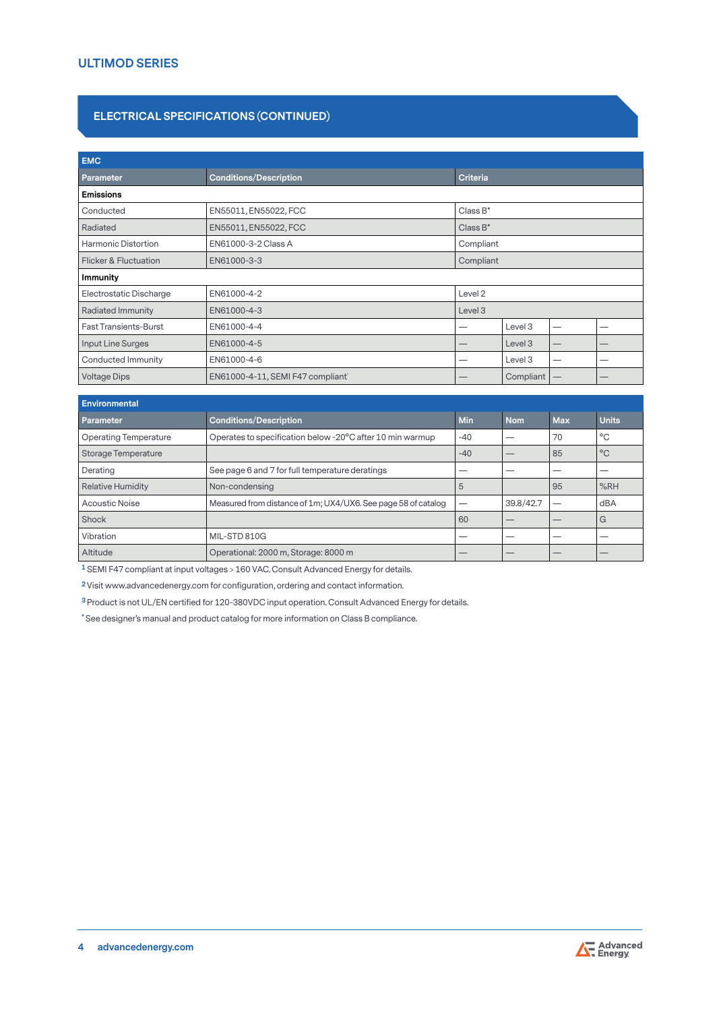## **ELECTRICAL SPECIFICATIONS (CONTINUED)**

| <b>EMC</b>                   |                                                  |                    |                    |    |   |
|------------------------------|--------------------------------------------------|--------------------|--------------------|----|---|
| Parameter                    | <b>Conditions/Description</b><br><b>Criteria</b> |                    |                    |    |   |
| <b>Emissions</b>             |                                                  |                    |                    |    |   |
| Conducted                    | EN55011, EN55022, FCC                            | $Class B^*$        |                    |    |   |
| Radiated                     | EN55011, EN55022, FCC                            | Class $B^*$        |                    |    |   |
| Harmonic Distortion          | EN61000-3-2 Class A                              | Compliant          |                    |    |   |
| Flicker & Fluctuation        | EN61000-3-3                                      | Compliant          |                    |    |   |
| <b>Immunity</b>              |                                                  |                    |                    |    |   |
| Electrostatic Discharge      | EN61000-4-2                                      | Level <sub>2</sub> |                    |    |   |
| <b>Radiated Immunity</b>     | EN61000-4-3                                      | Level 3            |                    |    |   |
| <b>Fast Transients-Burst</b> | EN61000-4-4                                      |                    | Level 3            |    |   |
| Input Line Surges            | EN61000-4-5                                      |                    | Level <sub>3</sub> |    |   |
| Conducted Immunity           | EN61000-4-6                                      |                    | Level 3            | -- | _ |
| <b>Voltage Dips</b>          | EN61000-4-11, SEMI F47 compliant                 |                    | Compliant          |    |   |

| <b>Environmental</b>         |                                                               |       |            |            |              |
|------------------------------|---------------------------------------------------------------|-------|------------|------------|--------------|
| <b>Parameter</b>             | <b>Conditions/Description</b>                                 | Min   | <b>Nom</b> | <b>Max</b> | <b>Units</b> |
| <b>Operating Temperature</b> | Operates to specification below -20°C after 10 min warmup     | $-40$ |            | 70         | °C           |
| Storage Temperature          |                                                               | $-40$ |            | 85         | $^{\circ}$ C |
| Derating                     | See page 6 and 7 for full temperature deratings               |       |            |            |              |
| Relative Humidity            | Non-condensing                                                | 5     |            | 95         | %RH          |
| <b>Acoustic Noise</b>        | Measured from distance of 1m; UX4/UX6. See page 58 of catalog |       | 39.8/42.7  |            | dBA          |
| Shock                        |                                                               | 60    |            |            | G            |
| Vibration                    | MIL-STD 810G                                                  |       |            |            |              |
| Altitude                     | Operational: 2000 m, Storage: 8000 m                          |       |            |            |              |

**1** SEMI F47 compliant at input voltages > 160 VAC. Consult Advanced Energy for details.

**2** Visit www.advancedenergy.com for configuration, ordering and contact information.

**3** Product is not UL/EN certified for 120-380VDC input operation. Consult Advanced Energy for details.

**\*** See designer's manual and product catalog for more information on Class B compliance.

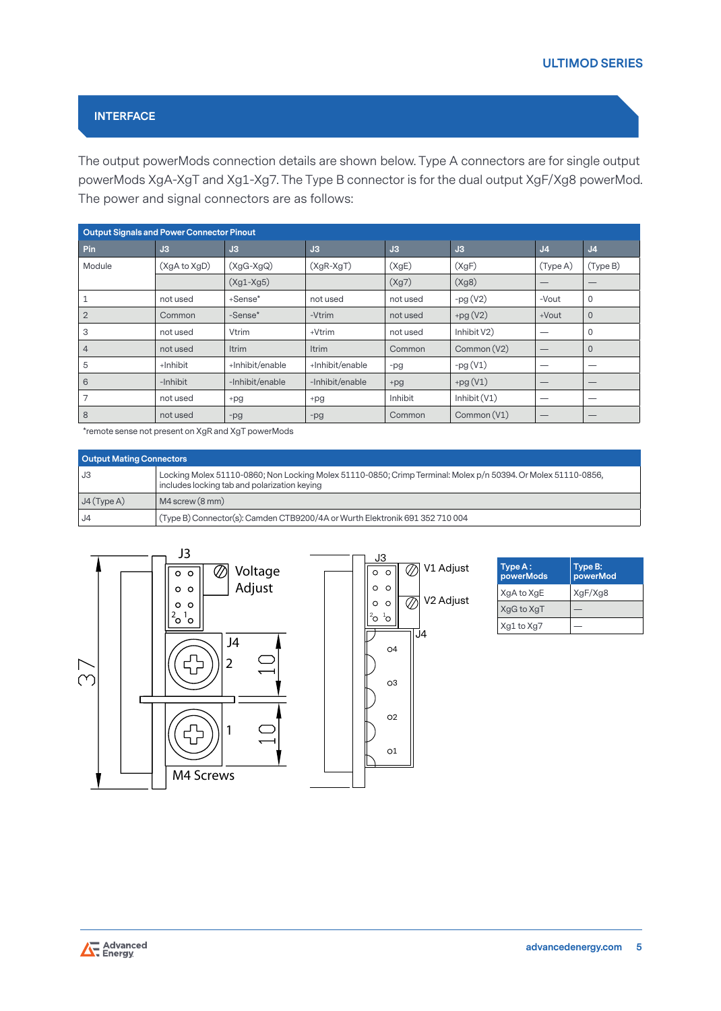# **INTERFACE**

The output powerMods connection details are shown below. Type A connectors are for single output powerMods XgA-XgT and Xg1-Xg7. The Type B connector is for the dual output XgF/Xg8 powerMod. The power and signal connectors are as follows:

|                | <b>Output Signals and Power Connector Pinout</b> |                 |                 |          |                |                |                |
|----------------|--------------------------------------------------|-----------------|-----------------|----------|----------------|----------------|----------------|
| Pin            | J3                                               | J3              | J3              | J3       | J3             | J <sub>4</sub> | J <sub>4</sub> |
| Module         | (XgA to XgD)                                     | $(XgG-XgQ)$     | $(XgR-XgT)$     | (XgE)    | (XgF)          | (Type A)       | (Type B)       |
|                |                                                  | $(Xg1-Xg5)$     |                 | (Xg7)    | (Xg8)          |                |                |
|                | not used                                         | +Sense*         | not used        | not used | $-pg(V2)$      | -Vout          | 0              |
| $\overline{2}$ | Common                                           | -Sense*         | -Vtrim          | not used | $+pg(V2)$      | $+$ Vout       | $\overline{0}$ |
| 3              | not used                                         | Vtrim           | +Vtrim          | not used | Inhibit V2)    |                | 0              |
| $\overline{4}$ | not used                                         | <b>Itrim</b>    | Itrim           | Common   | Common (V2)    |                | $\overline{0}$ |
| 5              | +Inhibit                                         | +Inhibit/enable | +Inhibit/enable | -pg      | $-pg(V1)$      |                |                |
| 6              | -Inhibit                                         | -Inhibit/enable | -Inhibit/enable | $+pg$    | $+pg(V1)$      |                |                |
|                | not used                                         | +pg             | +pg             | Inhibit  | Inhibit $(V1)$ |                |                |
| 8              | not used                                         | $-pg$           | $-pg$           | Common   | Common (V1)    |                | –              |

\*remote sense not present on XgR and XgT powerMods

|               | <b>Output Mating Connectors</b>                                                                                                                               |  |  |  |  |
|---------------|---------------------------------------------------------------------------------------------------------------------------------------------------------------|--|--|--|--|
| l J3          | Locking Molex 51110-0860; Non Locking Molex 51110-0850; Crimp Terminal: Molex p/n 50394. Or Molex 51110-0856,<br>includes locking tab and polarization keying |  |  |  |  |
| $J4$ (Type A) | $M4$ screw $(8$ mm)                                                                                                                                           |  |  |  |  |
| 4ل ،          | (Type B) Connector(s): Camden CTB9200/4A or Wurth Elektronik 691 352 710 004                                                                                  |  |  |  |  |





| Type A:<br>powerMods | Type B:<br>powerMod |
|----------------------|---------------------|
| XgA to XgE           | XgF/Xg8             |
| XgG to XgT           |                     |
| Xg1 to Xg7           |                     |

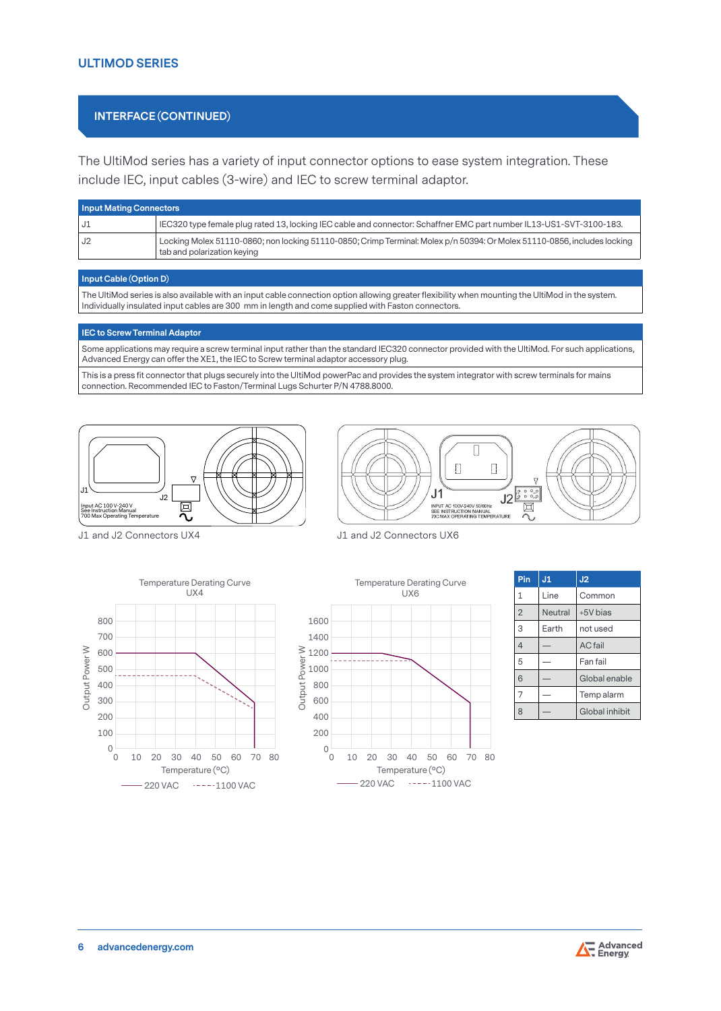## **INTERFACE (CONTINUED)**

The UltiMod series has a variety of input connector options to ease system integration. These include IEC, input cables (3-wire) and IEC to screw terminal adaptor.

|      | <b>Input Mating Connectors</b>                                                                                                                          |  |  |  |  |  |  |
|------|---------------------------------------------------------------------------------------------------------------------------------------------------------|--|--|--|--|--|--|
| l J1 | IEC320 type female plug rated 13, locking IEC cable and connector: Schaffner EMC part number IL13-US1-SVT-3100-183.                                     |  |  |  |  |  |  |
| i J2 | Locking Molex 51110-0860; non locking 51110-0850; Crimp Terminal: Molex p/n 50394: Or Molex 51110-0856, includes locking<br>tab and polarization keying |  |  |  |  |  |  |

#### **Input Cable (Option D)**

The UltiMod series is also available with an input cable connection option allowing greater flexibility when mounting the UltiMod in the system. Individually insulated input cables are 300 mm in length and come supplied with Faston connectors.

#### **IEC to Screw Terminal Adaptor**

Some applications may require a screw terminal input rather than the standard IEC320 connector provided with the UltiMod. For such applications, 700 Advanced Energy can offer the XE1, the IEC to Screw terminal adaptor accessory plug. 600

This is a press fit connector that plugs securely into the UltiMod powerPac and provides the system integrator with screw terminals for mains<br>connection Becommonded IFC to Fester (Terminal Luge Seburter P/N 4799,9000 connection. Recommended IEC to Faston/Terminal Lugs Schurter P/N 4788.8000. nir<br>til<br>Sc

400





J1 and J2 Connectors UX4







| J <sub>1</sub> | J <sub>2</sub> |
|----------------|----------------|
| Line           | Common         |
| Neutral        | +5V bias       |
| Earth          | not used       |
|                | <b>AC</b> fail |
|                | Fan fail       |
|                | Global enable  |
|                | Temp alarm     |
|                | Global inhibit |
|                |                |



1400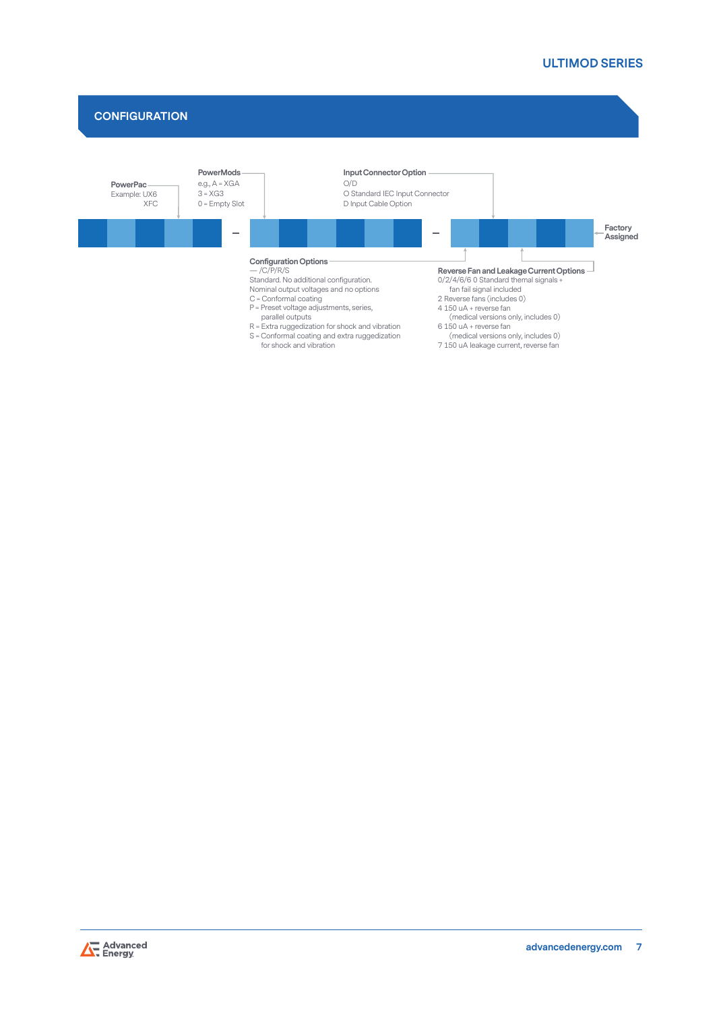# **CONFIGURATION**



R = Extra ruggedization for shock and vibration S = Conformal coating and extra ruggedization for shock and vibration